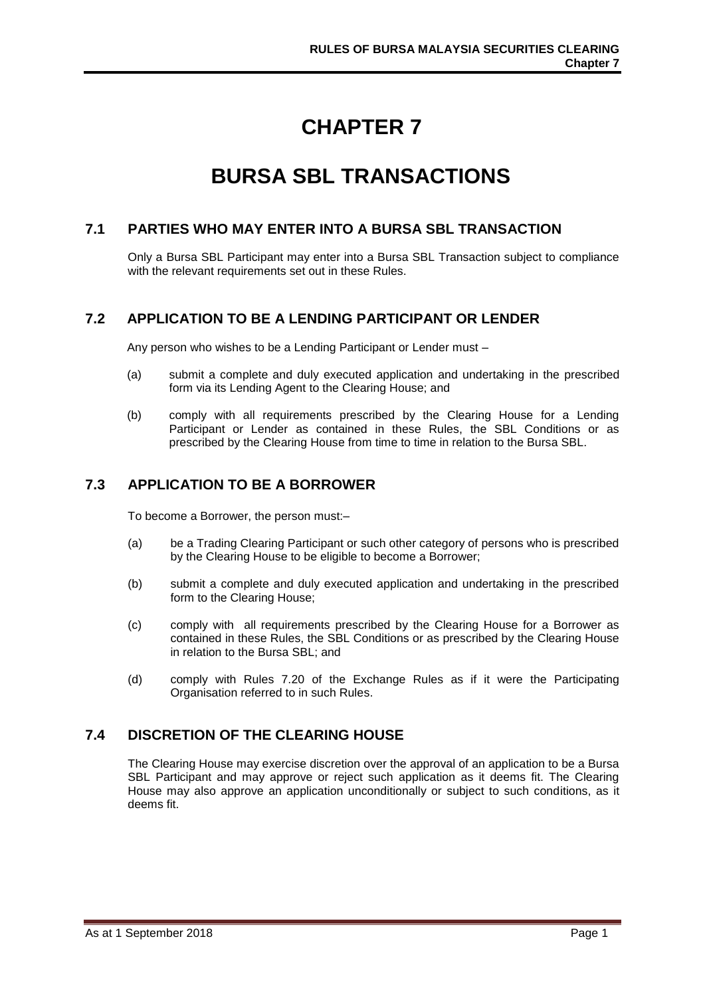# **CHAPTER 7**

# **BURSA SBL TRANSACTIONS**

#### **7.1 PARTIES WHO MAY ENTER INTO A BURSA SBL TRANSACTION**

Only a Bursa SBL Participant may enter into a Bursa SBL Transaction subject to compliance with the relevant requirements set out in these Rules.

# **7.2 APPLICATION TO BE A LENDING PARTICIPANT OR LENDER**

Any person who wishes to be a Lending Participant or Lender must –

- (a) submit a complete and duly executed application and undertaking in the prescribed form via its Lending Agent to the Clearing House; and
- (b) comply with all requirements prescribed by the Clearing House for a Lending Participant or Lender as contained in these Rules, the SBL Conditions or as prescribed by the Clearing House from time to time in relation to the Bursa SBL.

# **7.3 APPLICATION TO BE A BORROWER**

To become a Borrower, the person must:–

- (a) be a Trading Clearing Participant or such other category of persons who is prescribed by the Clearing House to be eligible to become a Borrower;
- (b) submit a complete and duly executed application and undertaking in the prescribed form to the Clearing House;
- (c) comply with all requirements prescribed by the Clearing House for a Borrower as contained in these Rules, the SBL Conditions or as prescribed by the Clearing House in relation to the Bursa SBL; and
- (d) comply with Rules 7.20 of the Exchange Rules as if it were the Participating Organisation referred to in such Rules.

# **7.4 DISCRETION OF THE CLEARING HOUSE**

The Clearing House may exercise discretion over the approval of an application to be a Bursa SBL Participant and may approve or reject such application as it deems fit. The Clearing House may also approve an application unconditionally or subject to such conditions, as it deems fit.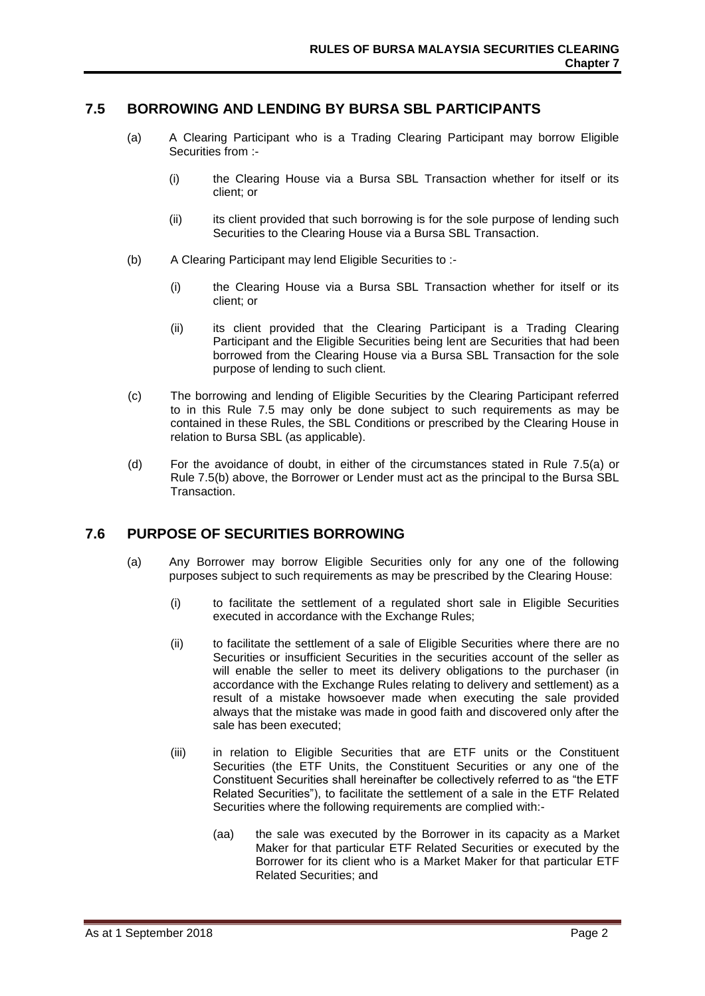#### **7.5 BORROWING AND LENDING BY BURSA SBL PARTICIPANTS**

- (a) A Clearing Participant who is a Trading Clearing Participant may borrow Eligible Securities from :-
	- (i) the Clearing House via a Bursa SBL Transaction whether for itself or its client; or
	- (ii) its client provided that such borrowing is for the sole purpose of lending such Securities to the Clearing House via a Bursa SBL Transaction.
- (b) A Clearing Participant may lend Eligible Securities to :-
	- (i) the Clearing House via a Bursa SBL Transaction whether for itself or its client; or
	- (ii) its client provided that the Clearing Participant is a Trading Clearing Participant and the Eligible Securities being lent are Securities that had been borrowed from the Clearing House via a Bursa SBL Transaction for the sole purpose of lending to such client.
- (c) The borrowing and lending of Eligible Securities by the Clearing Participant referred to in this Rule 7.5 may only be done subject to such requirements as may be contained in these Rules, the SBL Conditions or prescribed by the Clearing House in relation to Bursa SBL (as applicable).
- (d) For the avoidance of doubt, in either of the circumstances stated in Rule 7.5(a) or Rule 7.5(b) above, the Borrower or Lender must act as the principal to the Bursa SBL Transaction.

#### **7.6 PURPOSE OF SECURITIES BORROWING**

- (a) Any Borrower may borrow Eligible Securities only for any one of the following purposes subject to such requirements as may be prescribed by the Clearing House:
	- (i) to facilitate the settlement of a regulated short sale in Eligible Securities executed in accordance with the Exchange Rules;
	- (ii) to facilitate the settlement of a sale of Eligible Securities where there are no Securities or insufficient Securities in the securities account of the seller as will enable the seller to meet its delivery obligations to the purchaser (in accordance with the Exchange Rules relating to delivery and settlement) as a result of a mistake howsoever made when executing the sale provided always that the mistake was made in good faith and discovered only after the sale has been executed;
	- (iii) in relation to Eligible Securities that are ETF units or the Constituent Securities (the ETF Units, the Constituent Securities or any one of the Constituent Securities shall hereinafter be collectively referred to as "the ETF Related Securities"), to facilitate the settlement of a sale in the ETF Related Securities where the following requirements are complied with:-
		- (aa) the sale was executed by the Borrower in its capacity as a Market Maker for that particular ETF Related Securities or executed by the Borrower for its client who is a Market Maker for that particular ETF Related Securities; and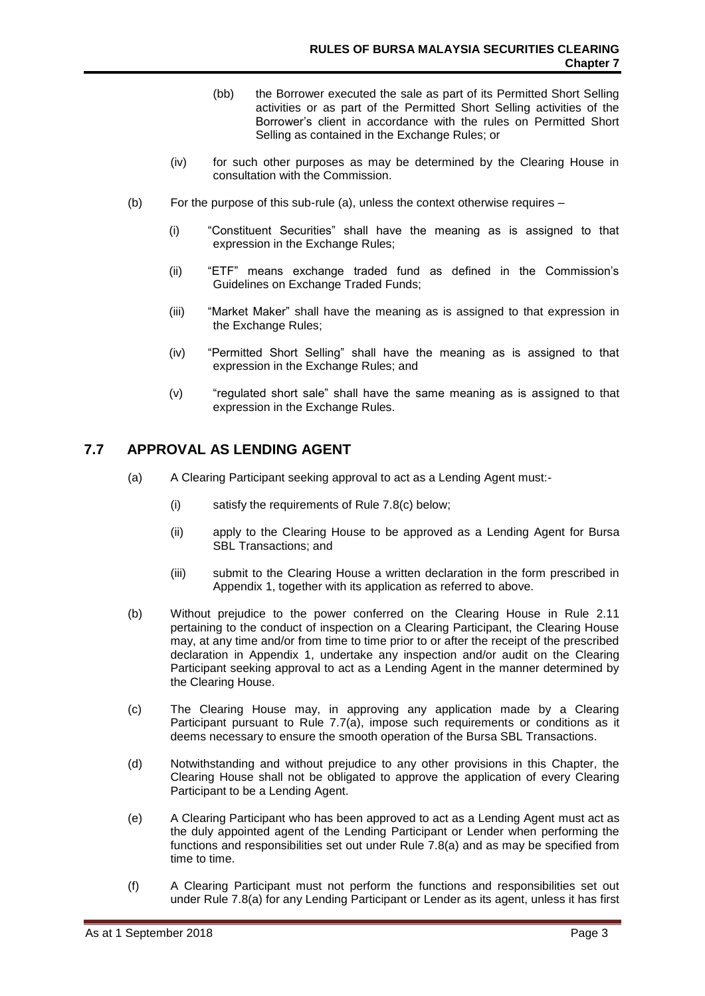- (bb) the Borrower executed the sale as part of its Permitted Short Selling activities or as part of the Permitted Short Selling activities of the Borrower's client in accordance with the rules on Permitted Short Selling as contained in the Exchange Rules; or
- (iv) for such other purposes as may be determined by the Clearing House in consultation with the Commission.
- (b) For the purpose of this sub-rule (a), unless the context otherwise requires
	- (i) "Constituent Securities" shall have the meaning as is assigned to that expression in the Exchange Rules;
	- (ii) "ETF" means exchange traded fund as defined in the Commission's Guidelines on Exchange Traded Funds;
	- (iii) "Market Maker" shall have the meaning as is assigned to that expression in the Exchange Rules;
	- (iv) "Permitted Short Selling" shall have the meaning as is assigned to that expression in the Exchange Rules; and
	- (v) "regulated short sale" shall have the same meaning as is assigned to that expression in the Exchange Rules.

# **7.7 APPROVAL AS LENDING AGENT**

- (a) A Clearing Participant seeking approval to act as a Lending Agent must:-
	- (i) satisfy the requirements of Rule 7.8(c) below;
	- (ii) apply to the Clearing House to be approved as a Lending Agent for Bursa SBL Transactions; and
	- (iii) submit to the Clearing House a written declaration in the form prescribed in Appendix 1, together with its application as referred to above.
- (b) Without prejudice to the power conferred on the Clearing House in Rule 2.11 pertaining to the conduct of inspection on a Clearing Participant, the Clearing House may, at any time and/or from time to time prior to or after the receipt of the prescribed declaration in Appendix 1, undertake any inspection and/or audit on the Clearing Participant seeking approval to act as a Lending Agent in the manner determined by the Clearing House.
- (c) The Clearing House may, in approving any application made by a Clearing Participant pursuant to Rule 7.7(a), impose such requirements or conditions as it deems necessary to ensure the smooth operation of the Bursa SBL Transactions.
- (d) Notwithstanding and without prejudice to any other provisions in this Chapter, the Clearing House shall not be obligated to approve the application of every Clearing Participant to be a Lending Agent.
- (e) A Clearing Participant who has been approved to act as a Lending Agent must act as the duly appointed agent of the Lending Participant or Lender when performing the functions and responsibilities set out under Rule 7.8(a) and as may be specified from time to time.
- (f) A Clearing Participant must not perform the functions and responsibilities set out under Rule 7.8(a) for any Lending Participant or Lender as its agent, unless it has first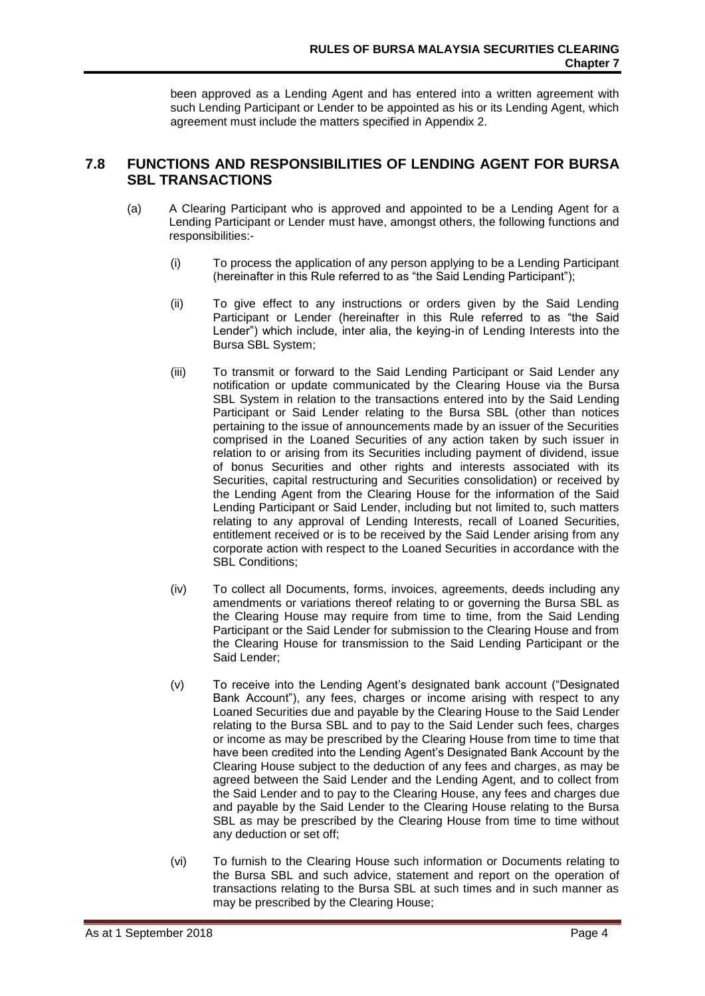been approved as a Lending Agent and has entered into a written agreement with such Lending Participant or Lender to be appointed as his or its Lending Agent, which agreement must include the matters specified in Appendix 2.

## **7.8 FUNCTIONS AND RESPONSIBILITIES OF LENDING AGENT FOR BURSA SBL TRANSACTIONS**

- (a) A Clearing Participant who is approved and appointed to be a Lending Agent for a Lending Participant or Lender must have, amongst others, the following functions and responsibilities:-
	- (i) To process the application of any person applying to be a Lending Participant (hereinafter in this Rule referred to as "the Said Lending Participant");
	- (ii) To give effect to any instructions or orders given by the Said Lending Participant or Lender (hereinafter in this Rule referred to as "the Said Lender") which include, inter alia, the keying-in of Lending Interests into the Bursa SBL System;
	- (iii) To transmit or forward to the Said Lending Participant or Said Lender any notification or update communicated by the Clearing House via the Bursa SBL System in relation to the transactions entered into by the Said Lending Participant or Said Lender relating to the Bursa SBL (other than notices pertaining to the issue of announcements made by an issuer of the Securities comprised in the Loaned Securities of any action taken by such issuer in relation to or arising from its Securities including payment of dividend, issue of bonus Securities and other rights and interests associated with its Securities, capital restructuring and Securities consolidation) or received by the Lending Agent from the Clearing House for the information of the Said Lending Participant or Said Lender, including but not limited to, such matters relating to any approval of Lending Interests, recall of Loaned Securities, entitlement received or is to be received by the Said Lender arising from any corporate action with respect to the Loaned Securities in accordance with the SBL Conditions;
	- (iv) To collect all Documents, forms, invoices, agreements, deeds including any amendments or variations thereof relating to or governing the Bursa SBL as the Clearing House may require from time to time, from the Said Lending Participant or the Said Lender for submission to the Clearing House and from the Clearing House for transmission to the Said Lending Participant or the Said Lender;
	- (v) To receive into the Lending Agent's designated bank account ("Designated Bank Account"), any fees, charges or income arising with respect to any Loaned Securities due and payable by the Clearing House to the Said Lender relating to the Bursa SBL and to pay to the Said Lender such fees, charges or income as may be prescribed by the Clearing House from time to time that have been credited into the Lending Agent's Designated Bank Account by the Clearing House subject to the deduction of any fees and charges, as may be agreed between the Said Lender and the Lending Agent, and to collect from the Said Lender and to pay to the Clearing House, any fees and charges due and payable by the Said Lender to the Clearing House relating to the Bursa SBL as may be prescribed by the Clearing House from time to time without any deduction or set off;
	- (vi) To furnish to the Clearing House such information or Documents relating to the Bursa SBL and such advice, statement and report on the operation of transactions relating to the Bursa SBL at such times and in such manner as may be prescribed by the Clearing House;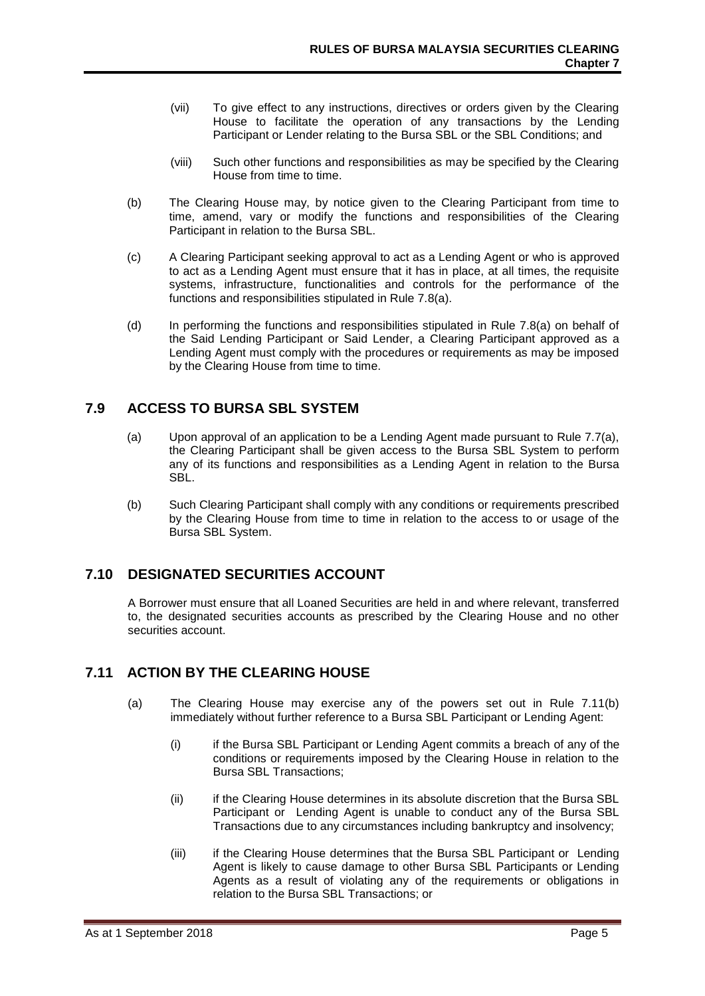- (vii) To give effect to any instructions, directives or orders given by the Clearing House to facilitate the operation of any transactions by the Lending Participant or Lender relating to the Bursa SBL or the SBL Conditions; and
- (viii) Such other functions and responsibilities as may be specified by the Clearing House from time to time.
- (b) The Clearing House may, by notice given to the Clearing Participant from time to time, amend, vary or modify the functions and responsibilities of the Clearing Participant in relation to the Bursa SBL.
- (c) A Clearing Participant seeking approval to act as a Lending Agent or who is approved to act as a Lending Agent must ensure that it has in place, at all times, the requisite systems, infrastructure, functionalities and controls for the performance of the functions and responsibilities stipulated in Rule 7.8(a).
- (d) In performing the functions and responsibilities stipulated in Rule 7.8(a) on behalf of the Said Lending Participant or Said Lender, a Clearing Participant approved as a Lending Agent must comply with the procedures or requirements as may be imposed by the Clearing House from time to time.

# **7.9 ACCESS TO BURSA SBL SYSTEM**

- (a) Upon approval of an application to be a Lending Agent made pursuant to Rule 7.7(a), the Clearing Participant shall be given access to the Bursa SBL System to perform any of its functions and responsibilities as a Lending Agent in relation to the Bursa SBL.
- (b) Such Clearing Participant shall comply with any conditions or requirements prescribed by the Clearing House from time to time in relation to the access to or usage of the Bursa SBL System.

# **7.10 DESIGNATED SECURITIES ACCOUNT**

A Borrower must ensure that all Loaned Securities are held in and where relevant, transferred to, the designated securities accounts as prescribed by the Clearing House and no other securities account.

# **7.11 ACTION BY THE CLEARING HOUSE**

- (a) The Clearing House may exercise any of the powers set out in Rule 7.11(b) immediately without further reference to a Bursa SBL Participant or Lending Agent:
	- (i) if the Bursa SBL Participant or Lending Agent commits a breach of any of the conditions or requirements imposed by the Clearing House in relation to the Bursa SBL Transactions;
	- (ii) if the Clearing House determines in its absolute discretion that the Bursa SBL Participant or Lending Agent is unable to conduct any of the Bursa SBL Transactions due to any circumstances including bankruptcy and insolvency;
	- (iii) if the Clearing House determines that the Bursa SBL Participant or Lending Agent is likely to cause damage to other Bursa SBL Participants or Lending Agents as a result of violating any of the requirements or obligations in relation to the Bursa SBL Transactions; or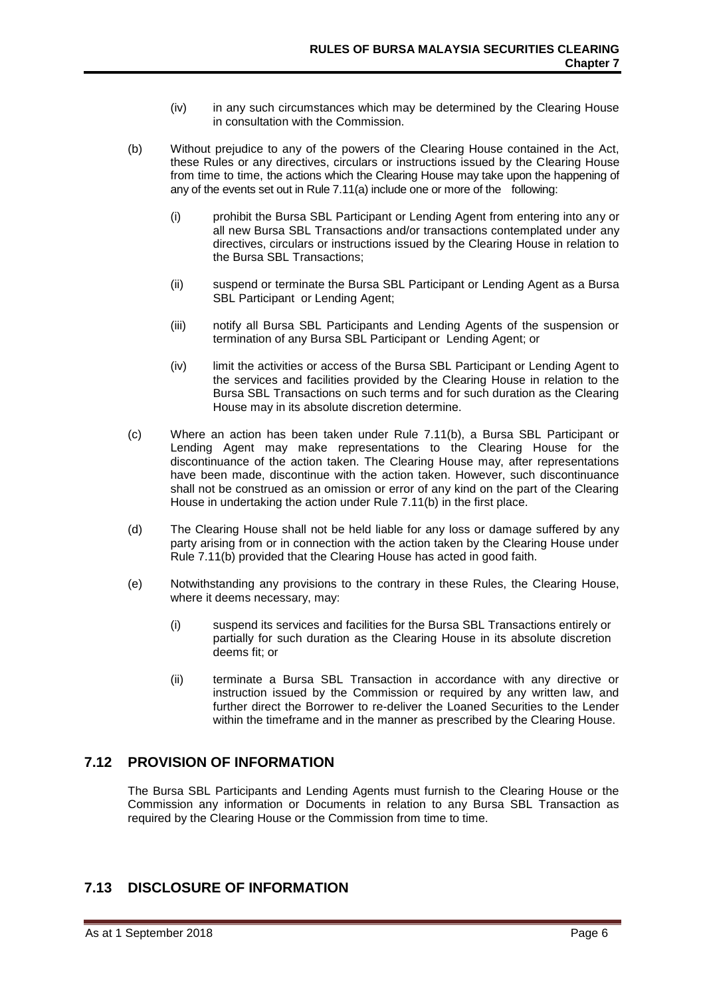- (iv) in any such circumstances which may be determined by the Clearing House in consultation with the Commission.
- (b) Without prejudice to any of the powers of the Clearing House contained in the Act, these Rules or any directives, circulars or instructions issued by the Clearing House from time to time, the actions which the Clearing House may take upon the happening of any of the events set out in Rule 7.11(a) include one or more of the following:
	- (i) prohibit the Bursa SBL Participant or Lending Agent from entering into any or all new Bursa SBL Transactions and/or transactions contemplated under any directives, circulars or instructions issued by the Clearing House in relation to the Bursa SBL Transactions;
	- (ii) suspend or terminate the Bursa SBL Participant or Lending Agent as a Bursa SBL Participant or Lending Agent;
	- (iii) notify all Bursa SBL Participants and Lending Agents of the suspension or termination of any Bursa SBL Participant or Lending Agent; or
	- (iv) limit the activities or access of the Bursa SBL Participant or Lending Agent to the services and facilities provided by the Clearing House in relation to the Bursa SBL Transactions on such terms and for such duration as the Clearing House may in its absolute discretion determine.
- (c) Where an action has been taken under Rule 7.11(b), a Bursa SBL Participant or Lending Agent may make representations to the Clearing House for the discontinuance of the action taken. The Clearing House may, after representations have been made, discontinue with the action taken. However, such discontinuance shall not be construed as an omission or error of any kind on the part of the Clearing House in undertaking the action under Rule 7.11(b) in the first place.
- (d) The Clearing House shall not be held liable for any loss or damage suffered by any party arising from or in connection with the action taken by the Clearing House under Rule 7.11(b) provided that the Clearing House has acted in good faith.
- (e) Notwithstanding any provisions to the contrary in these Rules, the Clearing House, where it deems necessary, may:
	- (i) suspend its services and facilities for the Bursa SBL Transactions entirely or partially for such duration as the Clearing House in its absolute discretion deems fit; or
	- (ii) terminate a Bursa SBL Transaction in accordance with any directive or instruction issued by the Commission or required by any written law, and further direct the Borrower to re-deliver the Loaned Securities to the Lender within the timeframe and in the manner as prescribed by the Clearing House.

# **7.12 PROVISION OF INFORMATION**

The Bursa SBL Participants and Lending Agents must furnish to the Clearing House or the Commission any information or Documents in relation to any Bursa SBL Transaction as required by the Clearing House or the Commission from time to time.

# **7.13 DISCLOSURE OF INFORMATION**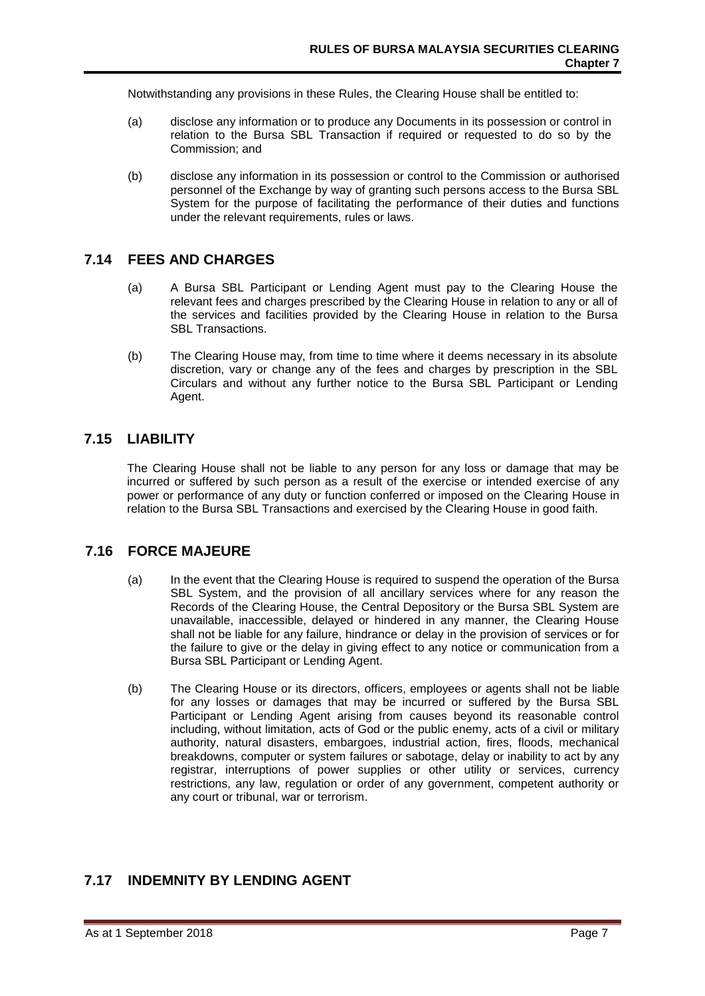Notwithstanding any provisions in these Rules, the Clearing House shall be entitled to:

- (a) disclose any information or to produce any Documents in its possession or control in relation to the Bursa SBL Transaction if required or requested to do so by the Commission; and
- (b) disclose any information in its possession or control to the Commission or authorised personnel of the Exchange by way of granting such persons access to the Bursa SBL System for the purpose of facilitating the performance of their duties and functions under the relevant requirements, rules or laws.

# **7.14 FEES AND CHARGES**

- (a) A Bursa SBL Participant or Lending Agent must pay to the Clearing House the relevant fees and charges prescribed by the Clearing House in relation to any or all of the services and facilities provided by the Clearing House in relation to the Bursa SBL Transactions.
- (b) The Clearing House may, from time to time where it deems necessary in its absolute discretion, vary or change any of the fees and charges by prescription in the SBL Circulars and without any further notice to the Bursa SBL Participant or Lending Agent.

## **7.15 LIABILITY**

The Clearing House shall not be liable to any person for any loss or damage that may be incurred or suffered by such person as a result of the exercise or intended exercise of any power or performance of any duty or function conferred or imposed on the Clearing House in relation to the Bursa SBL Transactions and exercised by the Clearing House in good faith.

# **7.16 FORCE MAJEURE**

- (a) In the event that the Clearing House is required to suspend the operation of the Bursa SBL System, and the provision of all ancillary services where for any reason the Records of the Clearing House, the Central Depository or the Bursa SBL System are unavailable, inaccessible, delayed or hindered in any manner, the Clearing House shall not be liable for any failure, hindrance or delay in the provision of services or for the failure to give or the delay in giving effect to any notice or communication from a Bursa SBL Participant or Lending Agent.
- (b) The Clearing House or its directors, officers, employees or agents shall not be liable for any losses or damages that may be incurred or suffered by the Bursa SBL Participant or Lending Agent arising from causes beyond its reasonable control including, without limitation, acts of God or the public enemy, acts of a civil or military authority, natural disasters, embargoes, industrial action, fires, floods, mechanical breakdowns, computer or system failures or sabotage, delay or inability to act by any registrar, interruptions of power supplies or other utility or services, currency restrictions, any law, regulation or order of any government, competent authority or any court or tribunal, war or terrorism.

# **7.17 INDEMNITY BY LENDING AGENT**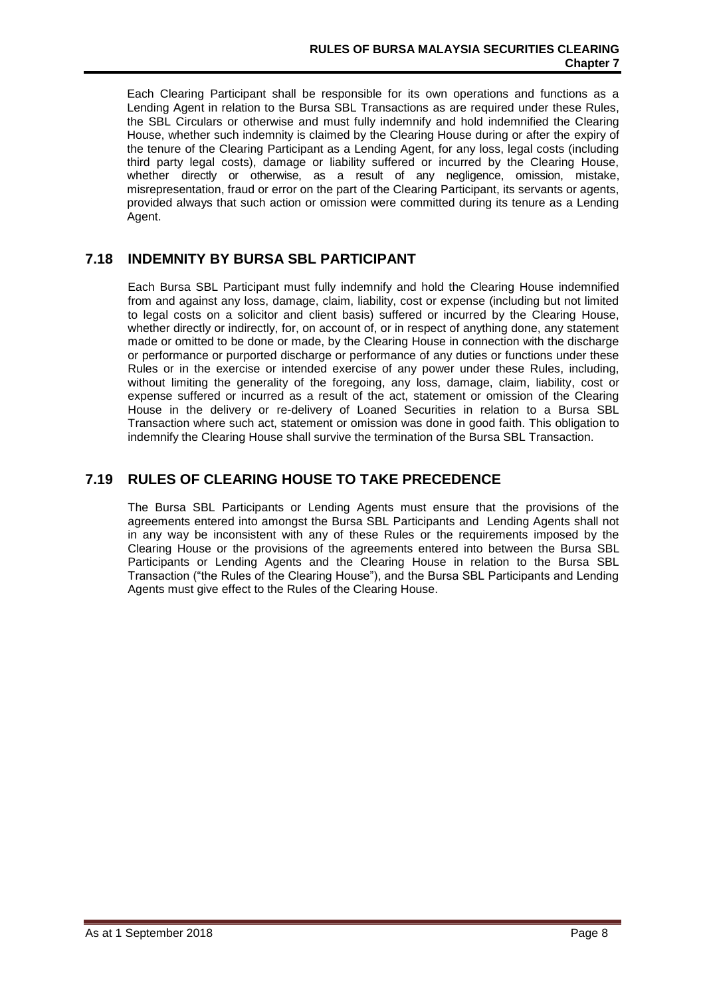Each Clearing Participant shall be responsible for its own operations and functions as a Lending Agent in relation to the Bursa SBL Transactions as are required under these Rules, the SBL Circulars or otherwise and must fully indemnify and hold indemnified the Clearing House, whether such indemnity is claimed by the Clearing House during or after the expiry of the tenure of the Clearing Participant as a Lending Agent, for any loss, legal costs (including third party legal costs), damage or liability suffered or incurred by the Clearing House, whether directly or otherwise, as a result of any negligence, omission, mistake, misrepresentation, fraud or error on the part of the Clearing Participant, its servants or agents, provided always that such action or omission were committed during its tenure as a Lending Agent.

## **7.18 INDEMNITY BY BURSA SBL PARTICIPANT**

Each Bursa SBL Participant must fully indemnify and hold the Clearing House indemnified from and against any loss, damage, claim, liability, cost or expense (including but not limited to legal costs on a solicitor and client basis) suffered or incurred by the Clearing House, whether directly or indirectly, for, on account of, or in respect of anything done, any statement made or omitted to be done or made, by the Clearing House in connection with the discharge or performance or purported discharge or performance of any duties or functions under these Rules or in the exercise or intended exercise of any power under these Rules, including, without limiting the generality of the foregoing, any loss, damage, claim, liability, cost or expense suffered or incurred as a result of the act, statement or omission of the Clearing House in the delivery or re-delivery of Loaned Securities in relation to a Bursa SBL Transaction where such act, statement or omission was done in good faith. This obligation to indemnify the Clearing House shall survive the termination of the Bursa SBL Transaction.

# **7.19 RULES OF CLEARING HOUSE TO TAKE PRECEDENCE**

The Bursa SBL Participants or Lending Agents must ensure that the provisions of the agreements entered into amongst the Bursa SBL Participants and Lending Agents shall not in any way be inconsistent with any of these Rules or the requirements imposed by the Clearing House or the provisions of the agreements entered into between the Bursa SBL Participants or Lending Agents and the Clearing House in relation to the Bursa SBL Transaction ("the Rules of the Clearing House"), and the Bursa SBL Participants and Lending Agents must give effect to the Rules of the Clearing House.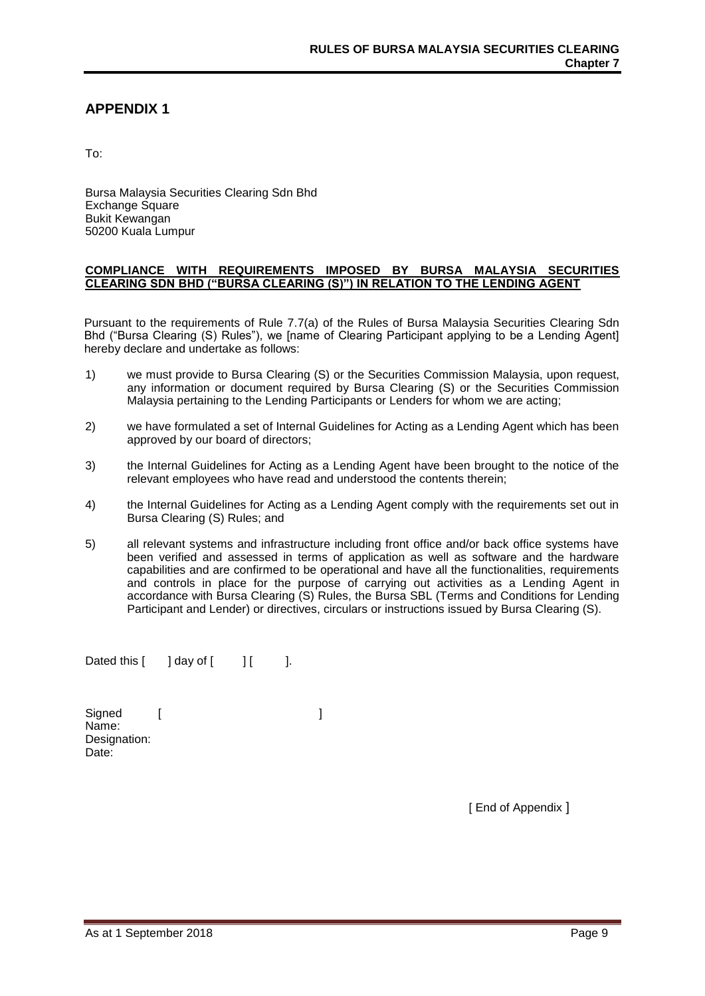## **APPENDIX 1**

To:

Bursa Malaysia Securities Clearing Sdn Bhd Exchange Square Bukit Kewangan 50200 Kuala Lumpur

#### **COMPLIANCE WITH REQUIREMENTS IMPOSED BY BURSA MALAYSIA SECURITIES CLEARING SDN BHD ("BURSA CLEARING (S)") IN RELATION TO THE LENDING AGENT**

Pursuant to the requirements of Rule 7.7(a) of the Rules of Bursa Malaysia Securities Clearing Sdn Bhd ("Bursa Clearing (S) Rules"), we [name of Clearing Participant applying to be a Lending Agent] hereby declare and undertake as follows:

- 1) we must provide to Bursa Clearing (S) or the Securities Commission Malaysia, upon request, any information or document required by Bursa Clearing (S) or the Securities Commission Malaysia pertaining to the Lending Participants or Lenders for whom we are acting;
- 2) we have formulated a set of Internal Guidelines for Acting as a Lending Agent which has been approved by our board of directors;
- 3) the Internal Guidelines for Acting as a Lending Agent have been brought to the notice of the relevant employees who have read and understood the contents therein;
- 4) the Internal Guidelines for Acting as a Lending Agent comply with the requirements set out in Bursa Clearing (S) Rules; and
- 5) all relevant systems and infrastructure including front office and/or back office systems have been verified and assessed in terms of application as well as software and the hardware capabilities and are confirmed to be operational and have all the functionalities, requirements and controls in place for the purpose of carrying out activities as a Lending Agent in accordance with Bursa Clearing (S) Rules, the Bursa SBL (Terms and Conditions for Lending Participant and Lender) or directives, circulars or instructions issued by Bursa Clearing (S).

Dated this  $\begin{bmatrix} 1 & 1 \\ 0 & 1 \end{bmatrix}$  and  $\begin{bmatrix} 1 & 1 \\ 0 & 1 \end{bmatrix}$ .

Signed [ ] Name: Designation: Date:

[ End of Appendix ]